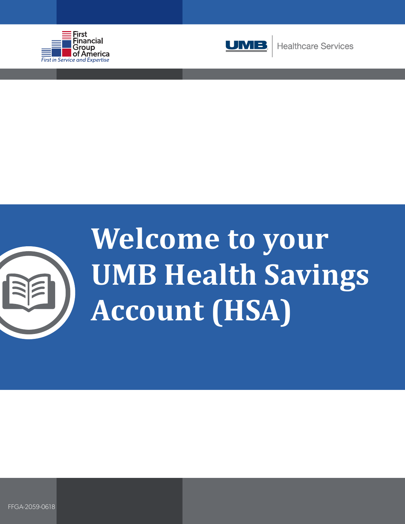





# **Welcome to your UMB Health Savings Account (HSA)**

FFGA-2059-0618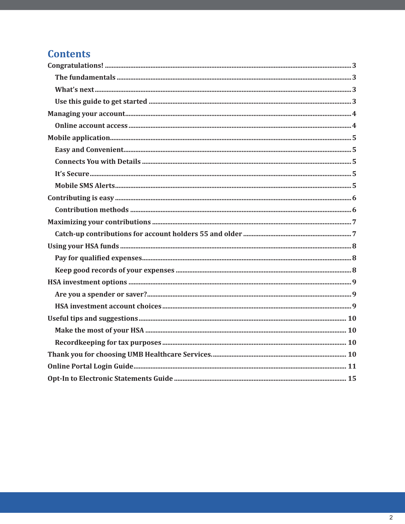# **Contents**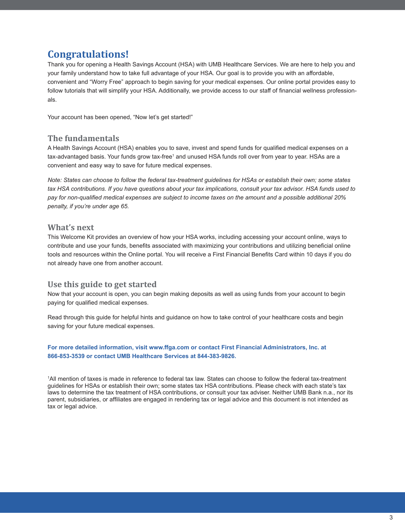# **Congratulations!**

Thank you for opening a Health Savings Account (HSA) with UMB Healthcare Services. We are here to help you and your family understand how to take full advantage of your HSA. Our goal is to provide you with an affordable, convenient and "Worry Free" approach to begin saving for your medical expenses. Our online portal provides easy to follow tutorials that will simplify your HSA. Additionally, we provide access to our staff of financial wellness professionals.

Your account has been opened, "Now let's get started!"

## **The fundamentals**

A Health Savings Account (HSA) enables you to save, invest and spend funds for qualified medical expenses on a tax-advantaged basis. Your funds grow tax-free1 and unused HSA funds roll over from year to year. HSAs are a convenient and easy way to save for future medical expenses.

*Note: States can choose to follow the federal tax-treatment guidelines for HSAs or establish their own; some states tax HSA contributions. If you have questions about your tax implications, consult your tax advisor. HSA funds used to pay for non-qualified medical expenses are subject to income taxes on the amount and a possible additional 20% penalty, if you're under age 65.*

## **What's next**

This Welcome Kit provides an overview of how your HSA works, including accessing your account online, ways to contribute and use your funds, benefits associated with maximizing your contributions and utilizing beneficial online tools and resources within the Online portal. You will receive a First Financial Benefits Card within 10 days if you do not already have one from another account.

## **Use this guide to get started**

Now that your account is open, you can begin making deposits as well as using funds from your account to begin paying for qualified medical expenses.

Read through this guide for helpful hints and guidance on how to take control of your healthcare costs and begin saving for your future medical expenses.

#### **For more detailed information, visit www.ffga.com or contact First Financial Administrators, Inc. at 866-853-3539 or contact UMB Healthcare Services at 844-383-9826.**

1 All mention of taxes is made in reference to federal tax law. States can choose to follow the federal tax-treatment guidelines for HSAs or establish their own; some states tax HSA contributions. Please check with each state's tax laws to determine the tax treatment of HSA contributions, or consult your tax adviser. Neither UMB Bank n.a., nor its parent, subsidiaries, or affiliates are engaged in rendering tax or legal advice and this document is not intended as tax or legal advice.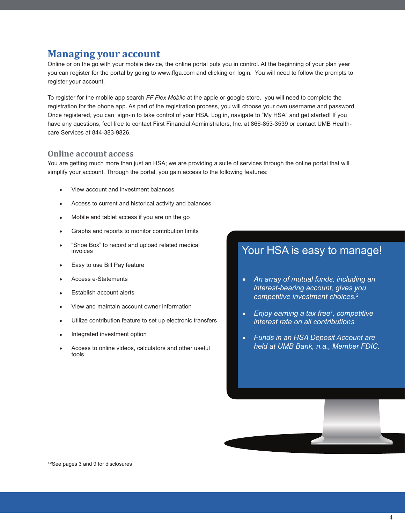# **Managing your account**

Online or on the go with your mobile device, the online portal puts you in control. At the beginning of your plan year you can register for the portal by going to www.ffga.com and clicking on login. You will need to follow the prompts to register your account.

To register for the mobile app search *FF Flex Mobile* at the apple or google store. you will need to complete the registration for the phone app. As part of the registration process, you will choose your own username and password. Once registered, you can sign-in to take control of your HSA. Log in, navigate to "My HSA" and get started! If you have any questions, feel free to contact First Financial Administrators, Inc. at 866-853-3539 or contact UMB Healthcare Services at 844-383-9826.

#### **Online account access**

You are getting much more than just an HSA; we are providing a suite of services through the online portal that will simplify your account. Through the portal, you gain access to the following features:

- **•** View account and investment balances
- **•** Access to current and historical activity and balances
- **•** Mobile and tablet access if you are on the go
- **•** Graphs and reports to monitor contribution limits
- **•** "Shoe Box" to record and upload related medical invoices
- **•** Easy to use Bill Pay feature
- **•** Access e-Statements
- **•** Establish account alerts
- **•** View and maintain account owner information
- **•** Utilize contribution feature to set up electronic transfers
- **•** Integrated investment option
- **•** Access to online videos, calculators and other useful tools

# Your HSA is easy to manage!

- **•** *An array of mutual funds, including an interest-bearing account, gives you competitive investment choices.<sup>2</sup>*
- **•** *Enjoy earning a tax free<sup>1</sup> , competitive interest rate on all contributions*
- **•** *Funds in an HSA Deposit Account are held at UMB Bank, n.a., Member FDIC.*

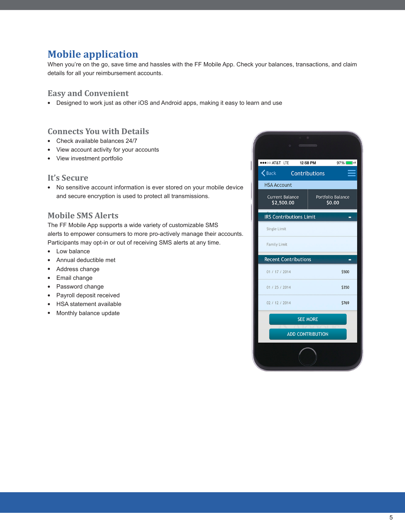# **Mobile application**

When you're on the go, save time and hassles with the FF Mobile App. Check your balances, transactions, and claim details for all your reimbursement accounts.

## **Easy and Convenient**

**•** Designed to work just as other iOS and Android apps, making it easy to learn and use

## **Connects You with Details**

- **•** Check available balances 24/7
- **•** View account activity for your accounts
- **•** View investment portfolio

## **It's Secure**

**•** No sensitive account information is ever stored on your mobile device and secure encryption is used to protect all transmissions.

# **Mobile SMS Alerts**

The FF Mobile App supports a wide variety of customizable SMS alerts to empower consumers to more pro-actively manage their accounts. Participants may opt-in or out of receiving SMS alerts at any time.

- **•** Low balance
- **•** Annual deductible met
- **•** Address change
- **•** Email change
- **•** Password change
- **•** Payroll deposit received
- **•** HSA statement available
- **•** Monthly balance update

| $\begin{array}{ccc} \circ & \circ & \circ \end{array}$<br>D |                                    |  |
|-------------------------------------------------------------|------------------------------------|--|
| <b>STI T&amp;TA OGOOG</b><br>12:58 PM<br>$97\%$             |                                    |  |
| $\left\langle \right\rangle$ Back Contributions             |                                    |  |
| <b>HSA Account</b>                                          |                                    |  |
| <b>Current Balance</b><br>\$2,500.00                        | <b>Portfolio Balance</b><br>\$0.00 |  |
| <b>IRS Contributions Limit</b>                              |                                    |  |
| Single Limit                                                |                                    |  |
| <b>Family Limit</b>                                         |                                    |  |
| <b>Recent Contributions</b>                                 |                                    |  |
| 01 / 17 / 2014                                              | \$500                              |  |
| 01 / 25 / 2014                                              | \$350                              |  |
| 02 / 12 / 2014                                              | \$769                              |  |
| <b>SEE MORE</b>                                             |                                    |  |
| <b>ADD CONTRIBUTION</b>                                     |                                    |  |
|                                                             |                                    |  |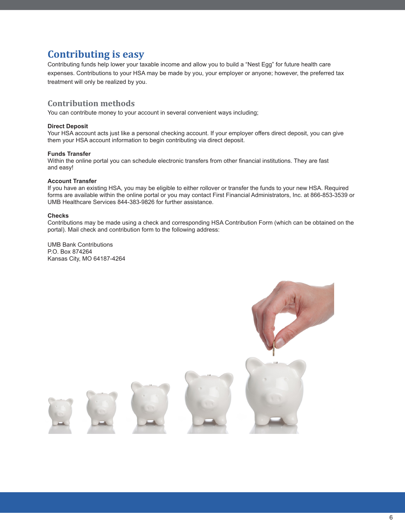# **Contributing is easy**

Contributing funds help lower your taxable income and allow you to build a "Nest Egg" for future health care expenses. Contributions to your HSA may be made by you, your employer or anyone; however, the preferred tax treatment will only be realized by you.

## **Contribution methods**

You can contribute money to your account in several convenient ways including;

#### **Direct Deposit**

Your HSA account acts just like a personal checking account. If your employer offers direct deposit, you can give them your HSA account information to begin contributing via direct deposit.

#### **Funds Transfer**

Within the online portal you can schedule electronic transfers from other financial institutions. They are fast and easy!

#### **Account Transfer**

If you have an existing HSA, you may be eligible to either rollover or transfer the funds to your new HSA. Required forms are available within the online portal or you may contact First Financial Administrators, Inc. at 866-853-3539 or UMB Healthcare Services 844-383-9826 for further assistance.

#### **Checks**

Contributions may be made using a check and corresponding HSA Contribution Form (which can be obtained on the portal). Mail check and contribution form to the following address:

UMB Bank Contributions P.O. Box 874264 Kansas City, MO 64187-4264

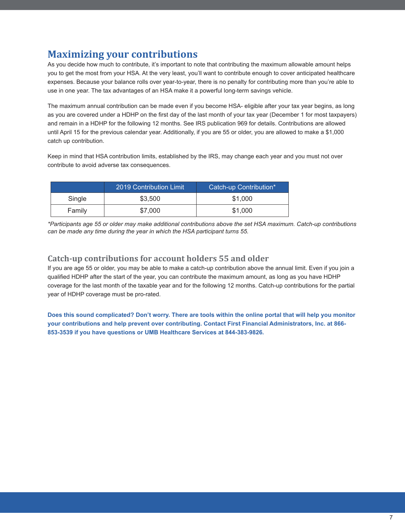# **Maximizing your contributions**

As you decide how much to contribute, it's important to note that contributing the maximum allowable amount helps you to get the most from your HSA. At the very least, you'll want to contribute enough to cover anticipated healthcare expenses. Because your balance rolls over year-to-year, there is no penalty for contributing more than you're able to use in one year. The tax advantages of an HSA make it a powerful long-term savings vehicle.

The maximum annual contribution can be made even if you become HSA- eligible after your tax year begins, as long as you are covered under a HDHP on the first day of the last month of your tax year (December 1 for most taxpayers) and remain in a HDHP for the following 12 months. See IRS publication 969 for details. Contributions are allowed until April 15 for the previous calendar year. Additionally, if you are 55 or older, you are allowed to make a \$1,000 catch up contribution.

Keep in mind that HSA contribution limits, established by the IRS, may change each year and you must not over contribute to avoid adverse tax consequences.

|        | 2019 Contribution Limit | Catch-up Contribution* |
|--------|-------------------------|------------------------|
| Single | \$3,500                 | \$1.000                |
| Family | \$7,000                 | \$1,000                |

*\*Participants age 55 or older may make additional contributions above the set HSA maximum. Catch-up contributions can be made any time during the year in which the HSA participant turns 55.*

## **Catch-up contributions for account holders 55 and older**

If you are age 55 or older, you may be able to make a catch-up contribution above the annual limit. Even if you join a qualified HDHP after the start of the year, you can contribute the maximum amount, as long as you have HDHP coverage for the last month of the taxable year and for the following 12 months. Catch-up contributions for the partial year of HDHP coverage must be pro-rated.

**Does this sound complicated? Don't worry. There are tools within the online portal that will help you monitor your contributions and help prevent over contributing. Contact First Financial Administrators, Inc. at 866- 853-3539 if you have questions or UMB Healthcare Services at 844-383-9826.**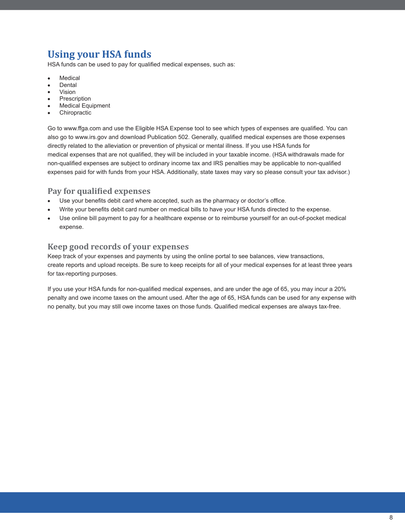# **Using your HSA funds**

HSA funds can be used to pay for qualified medical expenses, such as:

- **•** Medical
- **•** Dental
- **•** Vision
- **•** Prescription **•** Medical Equipment
- **•** Chiropractic

Go to www.ffga.com and use the Eligible HSA Expense tool to see which types of expenses are qualified. You can also go to www.irs.gov and download Publication 502. Generally, qualified medical expenses are those expenses directly related to the alleviation or prevention of physical or mental illness. If you use HSA funds for medical expenses that are not qualified, they will be included in your taxable income. (HSA withdrawals made for non-qualified expenses are subject to ordinary income tax and IRS penalties may be applicable to non-qualified expenses paid for with funds from your HSA. Additionally, state taxes may vary so please consult your tax advisor.)

## **Pay for qualified expenses**

- **•** Use your benefits debit card where accepted, such as the pharmacy or doctor's office.
- **•** Write your benefits debit card number on medical bills to have your HSA funds directed to the expense.
- **•** Use online bill payment to pay for a healthcare expense or to reimburse yourself for an out-of-pocket medical expense.

# **Keep good records of your expenses**

Keep track of your expenses and payments by using the online portal to see balances, view transactions, create reports and upload receipts. Be sure to keep receipts for all of your medical expenses for at least three years for tax-reporting purposes.

If you use your HSA funds for non-qualified medical expenses, and are under the age of 65, you may incur a 20% penalty and owe income taxes on the amount used. After the age of 65, HSA funds can be used for any expense with no penalty, but you may still owe income taxes on those funds. Qualified medical expenses are always tax-free.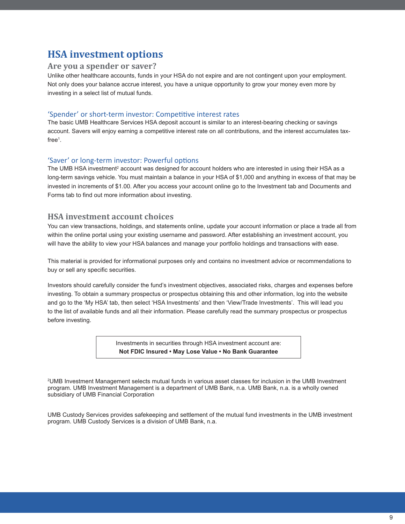# **HSA investment options**

#### **Are you a spender or saver?**

Unlike other healthcare accounts, funds in your HSA do not expire and are not contingent upon your employment. Not only does your balance accrue interest, you have a unique opportunity to grow your money even more by investing in a select list of mutual funds.

#### 'Spender' or short-term investor: Competitive interest rates

The basic UMB Healthcare Services HSA deposit account is similar to an interest-bearing checking or savings account. Savers will enjoy earning a competitive interest rate on all contributions, and the interest accumulates taxfree<sup>1</sup>.

#### 'Saver' or long-term investor: Powerful options

The UMB HSA investment<sup>2</sup> account was designed for account holders who are interested in using their HSA as a long-term savings vehicle. You must maintain a balance in your HSA of \$1,000 and anything in excess of that may be invested in increments of \$1.00. After you access your account online go to the Investment tab and Documents and Forms tab to find out more information about investing.

## **HSA investment account choices**

You can view transactions, holdings, and statements online, update your account information or place a trade all from within the online portal using your existing username and password. After establishing an investment account, you will have the ability to view your HSA balances and manage your portfolio holdings and transactions with ease.

This material is provided for informational purposes only and contains no investment advice or recommendations to buy or sell any specific securities.

Investors should carefully consider the fund's investment objectives, associated risks, charges and expenses before investing. To obtain a summary prospectus or prospectus obtaining this and other information, log into the website and go to the 'My HSA' tab, then select 'HSA Investments' and then 'View/Trade Investments'. This will lead you to the list of available funds and all their information. Please carefully read the summary prospectus or prospectus before investing.

> Investments in securities through HSA investment account are: **Not FDIC Insured • May Lose Value • No Bank Guarantee**

2 UMB Investment Management selects mutual funds in various asset classes for inclusion in the UMB Investment program. UMB Investment Management is a department of UMB Bank, n.a. UMB Bank, n.a. is a wholly owned subsidiary of UMB Financial Corporation

UMB Custody Services provides safekeeping and settlement of the mutual fund investments in the UMB investment program. UMB Custody Services is a division of UMB Bank, n.a.